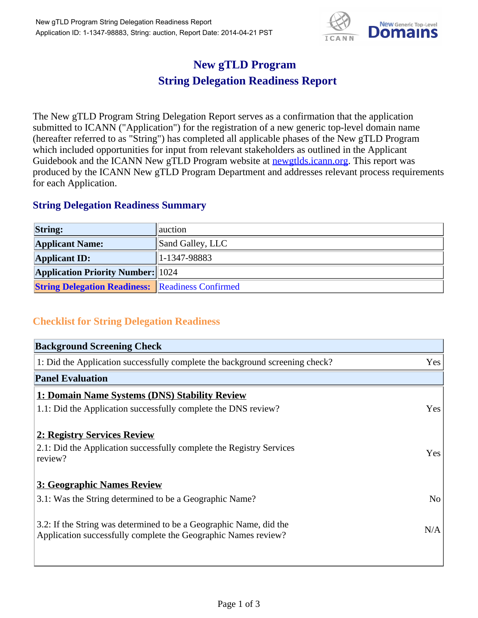

## **New gTLD Program String Delegation Readiness Report**

The New gTLD Program String Delegation Report serves as a confirmation that the application submitted to ICANN ("Application") for the registration of a new generic top-level domain name (hereafter referred to as "String") has completed all applicable phases of the New gTLD Program which included opportunities for input from relevant stakeholders as outlined in the Applicant Guidebook and the ICANN New gTLD Program website at **newgtlds.icann.org**. This report was produced by the ICANN New gTLD Program Department and addresses relevant process requirements for each Application.

## **String Delegation Readiness Summary**

| <b>String:</b>                                          | auction          |
|---------------------------------------------------------|------------------|
| <b>Applicant Name:</b>                                  | Sand Galley, LLC |
| <b>Applicant ID:</b>                                    | $ 1-1347-98883 $ |
| <b>Application Priority Number:</b> 1024                |                  |
| <b>String Delegation Readiness:</b> Readiness Confirmed |                  |

## **Checklist for String Delegation Readiness**

| <b>Background Screening Check</b>                                            |                |
|------------------------------------------------------------------------------|----------------|
| 1: Did the Application successfully complete the background screening check? | Yes            |
| <b>Panel Evaluation</b>                                                      |                |
| 1: Domain Name Systems (DNS) Stability Review                                |                |
| 1.1: Did the Application successfully complete the DNS review?               | Yes            |
| 2: Registry Services Review                                                  |                |
| 2.1: Did the Application successfully complete the Registry Services         | Yes            |
| review?                                                                      |                |
| <b>3: Geographic Names Review</b>                                            |                |
| 3.1: Was the String determined to be a Geographic Name?                      | N <sub>o</sub> |
| 3.2: If the String was determined to be a Geographic Name, did the           |                |
| Application successfully complete the Geographic Names review?               | N/A            |
|                                                                              |                |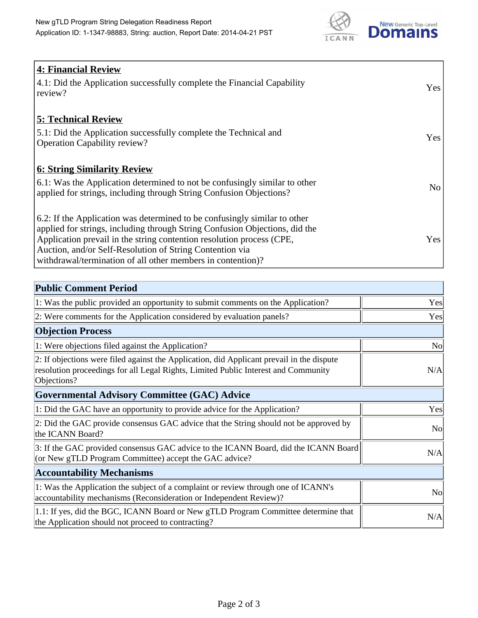

| 4: Financial Review<br>4.1: Did the Application successfully complete the Financial Capability<br>review?                                                                                                                                                                                                                                                    | <b>Yes</b>     |
|--------------------------------------------------------------------------------------------------------------------------------------------------------------------------------------------------------------------------------------------------------------------------------------------------------------------------------------------------------------|----------------|
| <b>5: Technical Review</b><br>5.1: Did the Application successfully complete the Technical and<br><b>Operation Capability review?</b>                                                                                                                                                                                                                        | Yes            |
| <b>6: String Similarity Review</b><br>$\vert$ 6.1: Was the Application determined to not be confusingly similar to other<br>applied for strings, including through String Confusion Objections?                                                                                                                                                              | N <sub>o</sub> |
| 6.2: If the Application was determined to be confusingly similar to other<br>applied for strings, including through String Confusion Objections, did the<br>Application prevail in the string contention resolution process (CPE,<br>Auction, and/or Self-Resolution of String Contention via<br>withdrawal/termination of all other members in contention)? | Yes            |

| <b>Public Comment Period</b>                                                                                                                                                                   |                |
|------------------------------------------------------------------------------------------------------------------------------------------------------------------------------------------------|----------------|
| 1: Was the public provided an opportunity to submit comments on the Application?                                                                                                               | Yes            |
| 2: Were comments for the Application considered by evaluation panels?                                                                                                                          | Yes            |
| <b>Objection Process</b>                                                                                                                                                                       |                |
| 1: Were objections filed against the Application?                                                                                                                                              | <b>No</b>      |
| 2: If objections were filed against the Application, did Applicant prevail in the dispute<br>resolution proceedings for all Legal Rights, Limited Public Interest and Community<br>Objections? | N/A            |
| <b>Governmental Advisory Committee (GAC) Advice</b>                                                                                                                                            |                |
| 1: Did the GAC have an opportunity to provide advice for the Application?                                                                                                                      | Yes            |
| 2: Did the GAC provide consensus GAC advice that the String should not be approved by<br>the ICANN Board?                                                                                      | No             |
| 3: If the GAC provided consensus GAC advice to the ICANN Board, did the ICANN Board<br>(or New gTLD Program Committee) accept the GAC advice?                                                  | N/A            |
| <b>Accountability Mechanisms</b>                                                                                                                                                               |                |
| 1: Was the Application the subject of a complaint or review through one of ICANN's<br>accountability mechanisms (Reconsideration or Independent Review)?                                       | N <sub>0</sub> |
| 1.1: If yes, did the BGC, ICANN Board or New gTLD Program Committee determine that<br>the Application should not proceed to contracting?                                                       | N/A            |